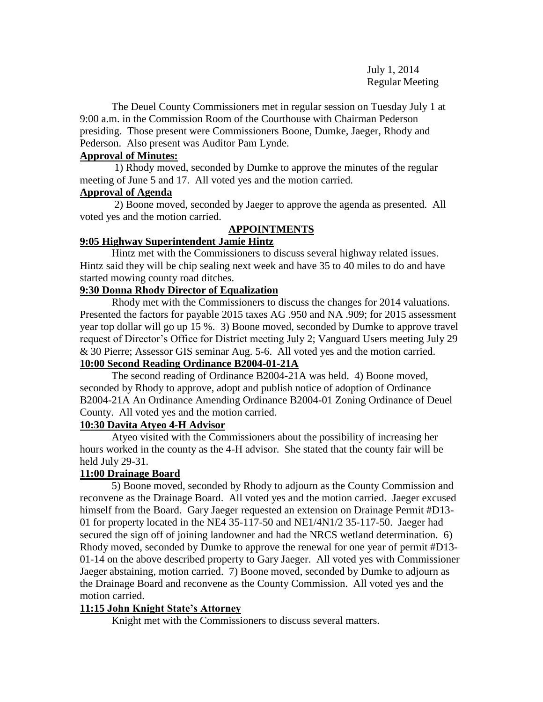July 1, 2014 Regular Meeting

The Deuel County Commissioners met in regular session on Tuesday July 1 at 9:00 a.m. in the Commission Room of the Courthouse with Chairman Pederson presiding. Those present were Commissioners Boone, Dumke, Jaeger, Rhody and Pederson. Also present was Auditor Pam Lynde.

### **Approval of Minutes:**

 1) Rhody moved, seconded by Dumke to approve the minutes of the regular meeting of June 5 and 17. All voted yes and the motion carried.

### **Approval of Agenda**

2) Boone moved, seconded by Jaeger to approve the agenda as presented. All voted yes and the motion carried.

# **APPOINTMENTS**

## **9:05 Highway Superintendent Jamie Hintz**

Hintz met with the Commissioners to discuss several highway related issues. Hintz said they will be chip sealing next week and have 35 to 40 miles to do and have started mowing county road ditches.

## **9:30 Donna Rhody Director of Equalization**

Rhody met with the Commissioners to discuss the changes for 2014 valuations. Presented the factors for payable 2015 taxes AG .950 and NA .909; for 2015 assessment year top dollar will go up 15 %. 3) Boone moved, seconded by Dumke to approve travel request of Director's Office for District meeting July 2; Vanguard Users meeting July 29 & 30 Pierre; Assessor GIS seminar Aug. 5-6. All voted yes and the motion carried. **10:00 Second Reading Ordinance B2004-01-21A**

 The second reading of Ordinance B2004-21A was held. 4) Boone moved, seconded by Rhody to approve, adopt and publish notice of adoption of Ordinance B2004-21A An Ordinance Amending Ordinance B2004-01 Zoning Ordinance of Deuel County. All voted yes and the motion carried.

# **10:30 Davita Atyeo 4-H Advisor**

 Atyeo visited with the Commissioners about the possibility of increasing her hours worked in the county as the 4-H advisor. She stated that the county fair will be held July 29-31.

# **11:00 Drainage Board**

5) Boone moved, seconded by Rhody to adjourn as the County Commission and reconvene as the Drainage Board. All voted yes and the motion carried. Jaeger excused himself from the Board. Gary Jaeger requested an extension on Drainage Permit #D13- 01 for property located in the NE4  $35-117-50$  and NE1/4N1/2  $35-117-50$ . Jaeger had secured the sign off of joining landowner and had the NRCS wetland determination. 6) Rhody moved, seconded by Dumke to approve the renewal for one year of permit #D13- 01-14 on the above described property to Gary Jaeger. All voted yes with Commissioner Jaeger abstaining, motion carried. 7) Boone moved, seconded by Dumke to adjourn as the Drainage Board and reconvene as the County Commission. All voted yes and the motion carried.

# **11:15 John Knight State's Attorney**

Knight met with the Commissioners to discuss several matters.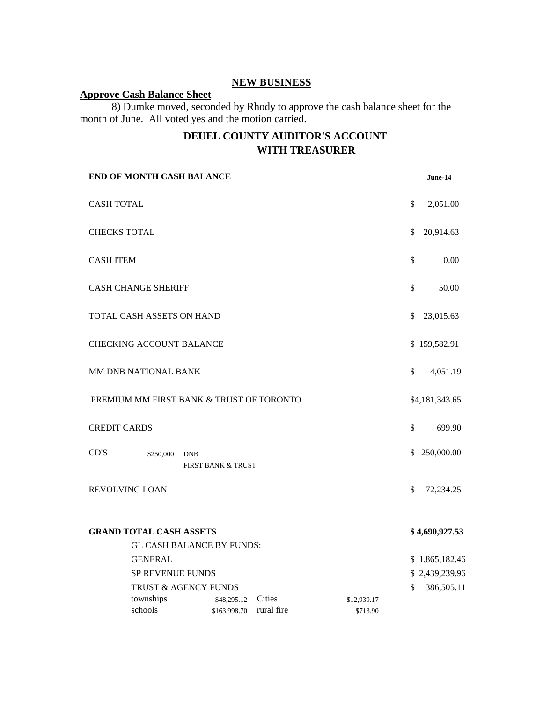# **NEW BUSINESS**

### **Approve Cash Balance Sheet**

8) Dumke moved, seconded by Rhody to approve the cash balance sheet for the month of June. All voted yes and the motion carried.

# **DEUEL COUNTY AUDITOR'S ACCOUNT WITH TREASURER**

| END OF MONTH CASH BALANCE                |                                          |                               |            |             |    | June-14                      |  |
|------------------------------------------|------------------------------------------|-------------------------------|------------|-------------|----|------------------------------|--|
| <b>CASH TOTAL</b>                        |                                          |                               |            |             | \$ | 2,051.00                     |  |
|                                          | <b>CHECKS TOTAL</b>                      |                               |            |             | \$ | 20,914.63                    |  |
| <b>CASH ITEM</b>                         |                                          |                               |            |             | \$ | 0.00                         |  |
| <b>CASH CHANGE SHERIFF</b>               |                                          |                               |            |             | \$ | 50.00                        |  |
| TOTAL CASH ASSETS ON HAND                |                                          |                               |            |             | \$ | 23,015.63                    |  |
| <b>CHECKING ACCOUNT BALANCE</b>          |                                          |                               |            |             |    | \$159,582.91                 |  |
| MM DNB NATIONAL BANK                     |                                          |                               |            |             | \$ | 4,051.19                     |  |
| PREMIUM MM FIRST BANK & TRUST OF TORONTO |                                          |                               |            |             |    | \$4,181,343.65               |  |
| <b>CREDIT CARDS</b>                      |                                          |                               |            |             | \$ | 699.90                       |  |
| CD'S                                     | \$250,000<br><b>DNB</b>                  | <b>FIRST BANK &amp; TRUST</b> |            |             | \$ | 250,000.00                   |  |
| <b>REVOLVING LOAN</b>                    |                                          |                               |            |             | \$ | 72,234.25                    |  |
| <b>GRAND TOTAL CASH ASSETS</b>           |                                          |                               |            |             |    | \$4,690,927.53               |  |
|                                          | <b>GL CASH BALANCE BY FUNDS:</b>         |                               |            |             |    |                              |  |
|                                          | <b>GENERAL</b>                           |                               |            |             |    | \$1,865,182.46               |  |
|                                          | SP REVENUE FUNDS<br>TRUST & AGENCY FUNDS |                               |            |             |    | \$2,439,239.96<br>386,505.11 |  |
|                                          | townships                                | \$48,295.12                   | Cities     | \$12,939.17 | \$ |                              |  |
|                                          | schools                                  | \$163,998.70                  | rural fire | \$713.90    |    |                              |  |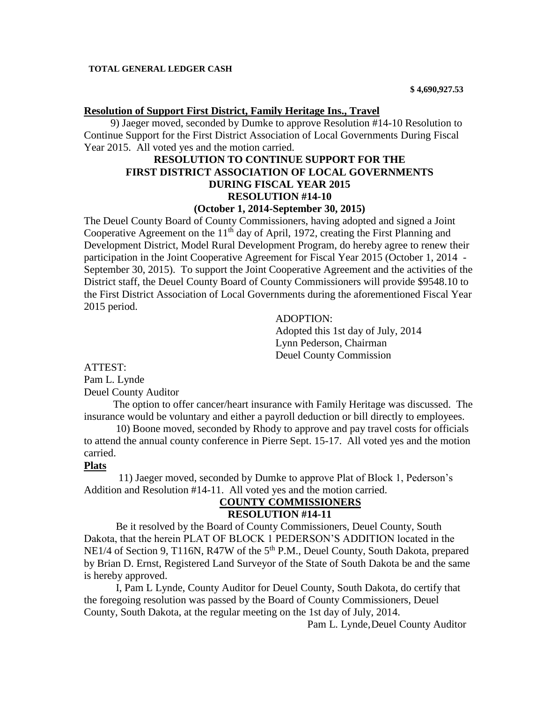#### **TOTAL GENERAL LEDGER CASH**

#### **Resolution of Support First District, Family Heritage Ins., Travel**

 9) Jaeger moved, seconded by Dumke to approve Resolution #14-10 Resolution to Continue Support for the First District Association of Local Governments During Fiscal Year 2015. All voted yes and the motion carried.

# **RESOLUTION TO CONTINUE SUPPORT FOR THE FIRST DISTRICT ASSOCIATION OF LOCAL GOVERNMENTS DURING FISCAL YEAR 2015 RESOLUTION #14-10**

### **(October 1, 2014-September 30, 2015)**

The Deuel County Board of County Commissioners, having adopted and signed a Joint Cooperative Agreement on the  $11<sup>th</sup>$  day of April, 1972, creating the First Planning and Development District, Model Rural Development Program, do hereby agree to renew their participation in the Joint Cooperative Agreement for Fiscal Year 2015 (October 1, 2014 - September 30, 2015). To support the Joint Cooperative Agreement and the activities of the District staff, the Deuel County Board of County Commissioners will provide \$9548.10 to the First District Association of Local Governments during the aforementioned Fiscal Year 2015 period.

> ADOPTION: Adopted this 1st day of July, 2014 Lynn Pederson, Chairman Deuel County Commission

ATTEST: Pam L. Lynde Deuel County Auditor

 The option to offer cancer/heart insurance with Family Heritage was discussed. The insurance would be voluntary and either a payroll deduction or bill directly to employees.

 10) Boone moved, seconded by Rhody to approve and pay travel costs for officials to attend the annual county conference in Pierre Sept. 15-17. All voted yes and the motion carried.

#### **Plats**

 11) Jaeger moved, seconded by Dumke to approve Plat of Block 1, Pederson's Addition and Resolution #14-11. All voted yes and the motion carried.

### **COUNTY COMMISSIONERS RESOLUTION #14-11**

Be it resolved by the Board of County Commissioners, Deuel County, South Dakota, that the herein PLAT OF BLOCK 1 PEDERSON'S ADDITION located in the NE1/4 of Section 9, T116N, R47W of the 5<sup>th</sup> P.M., Deuel County, South Dakota, prepared by Brian D. Ernst, Registered Land Surveyor of the State of South Dakota be and the same is hereby approved.

I, Pam L Lynde, County Auditor for Deuel County, South Dakota, do certify that the foregoing resolution was passed by the Board of County Commissioners, Deuel County, South Dakota, at the regular meeting on the 1st day of July, 2014.

Pam L. Lynde,Deuel County Auditor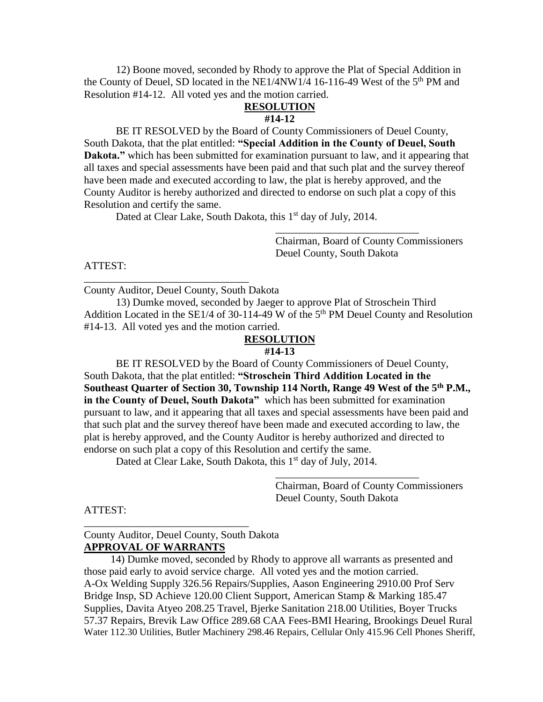12) Boone moved, seconded by Rhody to approve the Plat of Special Addition in the County of Deuel, SD located in the NE1/4NW1/4 16-116-49 West of the  $5<sup>th</sup>$  PM and Resolution #14-12. All voted yes and the motion carried.

#### **RESOLUTION #14-12**

BE IT RESOLVED by the Board of County Commissioners of Deuel County, South Dakota, that the plat entitled: **"Special Addition in the County of Deuel, South Dakota."** which has been submitted for examination pursuant to law, and it appearing that all taxes and special assessments have been paid and that such plat and the survey thereof have been made and executed according to law, the plat is hereby approved, and the County Auditor is hereby authorized and directed to endorse on such plat a copy of this Resolution and certify the same.

Dated at Clear Lake, South Dakota, this 1<sup>st</sup> day of July, 2014.

Chairman, Board of County Commissioners Deuel County, South Dakota

\_\_\_\_\_\_\_\_\_\_\_\_\_\_\_\_\_\_\_\_\_\_\_\_\_\_\_

ATTEST:

County Auditor, Deuel County, South Dakota

\_\_\_\_\_\_\_\_\_\_\_\_\_\_\_\_\_\_\_\_\_\_\_\_\_\_\_\_\_\_\_

 13) Dumke moved, seconded by Jaeger to approve Plat of Stroschein Third Addition Located in the  $SE1/4$  of 30-114-49 W of the  $5<sup>th</sup>$  PM Deuel County and Resolution #14-13. All voted yes and the motion carried.

### **RESOLUTION**

### **#14-13**

BE IT RESOLVED by the Board of County Commissioners of Deuel County, South Dakota, that the plat entitled: **"Stroschein Third Addition Located in the Southeast Quarter of Section 30, Township 114 North, Range 49 West of the 5th P.M., in the County of Deuel, South Dakota"** which has been submitted for examination pursuant to law, and it appearing that all taxes and special assessments have been paid and that such plat and the survey thereof have been made and executed according to law, the plat is hereby approved, and the County Auditor is hereby authorized and directed to endorse on such plat a copy of this Resolution and certify the same.

Dated at Clear Lake, South Dakota, this  $1<sup>st</sup>$  day of July, 2014.

Chairman, Board of County Commissioners Deuel County, South Dakota

\_\_\_\_\_\_\_\_\_\_\_\_\_\_\_\_\_\_\_\_\_\_\_\_\_\_\_

#### ATTEST:

### County Auditor, Deuel County, South Dakota **APPROVAL OF WARRANTS**

\_\_\_\_\_\_\_\_\_\_\_\_\_\_\_\_\_\_\_\_\_\_\_\_\_\_\_\_\_\_\_

 14) Dumke moved, seconded by Rhody to approve all warrants as presented and those paid early to avoid service charge. All voted yes and the motion carried. A-Ox Welding Supply 326.56 Repairs/Supplies, Aason Engineering 2910.00 Prof Serv Bridge Insp, SD Achieve 120.00 Client Support, American Stamp & Marking 185.47 Supplies, Davita Atyeo 208.25 Travel, Bjerke Sanitation 218.00 Utilities, Boyer Trucks 57.37 Repairs, Brevik Law Office 289.68 CAA Fees-BMI Hearing, Brookings Deuel Rural Water 112.30 Utilities, Butler Machinery 298.46 Repairs, Cellular Only 415.96 Cell Phones Sheriff,